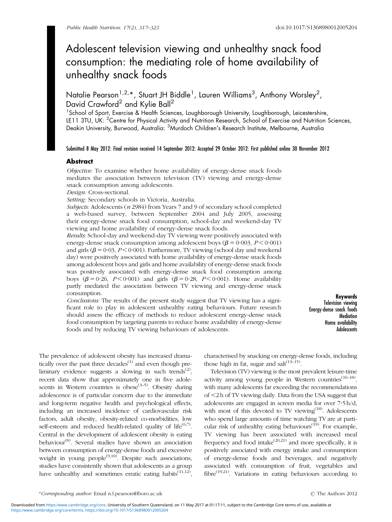# Adolescent television viewing and unhealthy snack food consumption: the mediating role of home availability of unhealthy snack foods

Natalie Pearson<sup>1,2,</sup>\*, Stuart JH Biddle<sup>1</sup>, Lauren Williams<sup>3</sup>, Anthony Worsley<sup>2</sup>, David Crawford<sup>2</sup> and Kylie Ball<sup>2</sup>

<sup>1</sup>School of Sport, Exercise & Health Sciences, Loughborough University, Loughborough, Leicestershire, LE11 3TU, UK: <sup>2</sup>Centre for Physical Activity and Nutrition Research, School of Exercise and Nutrition Sciences, Deakin University, Burwood, Australia: <sup>3</sup>Murdoch Children's Research Institute, Melbourne, Australia

## Submitted 8 May 2012: Final revision received 14 September 2012: Accepted 29 October 2012: First published online 30 November 2012

## Abstract

Objective: To examine whether home availability of energy-dense snack foods mediates the association between television (TV) viewing and energy-dense snack consumption among adolescents.

Design: Cross-sectional.

Setting: Secondary schools in Victoria, Australia.

Subjects: Adolescents (n 2984) from Years 7 and 9 of secondary school completed a web-based survey, between September 2004 and July 2005, assessing their energy-dense snack food consumption, school-day and weekend-day TV viewing and home availability of energy-dense snack foods.

Results: School-day and weekend-day TV viewing were positively associated with energy-dense snack consumption among adolescent boys ( $\beta$  = 0.003, P < 0.001) and girls  $(\beta = 0.03, P < 0.001)$ . Furthermore, TV viewing (school day and weekend day) were positively associated with home availability of energy-dense snack foods among adolescent boys and girls and home availability of energy-dense snack foods was positively associated with energy-dense snack food consumption among boys ( $\beta = 0.26$ ,  $P < 0.001$ ) and girls ( $\beta = 0.28$ ,  $P < 0.001$ ). Home availability partly mediated the association between TV viewing and energy-dense snack consumption.

Conclusions: The results of the present study suggest that TV viewing has a significant role to play in adolescent unhealthy eating behaviours. Future research should assess the efficacy of methods to reduce adolescent energy-dense snack food consumption by targeting parents to reduce home availability of energy-dense foods and by reducing TV viewing behaviours of adolescents.

Keywords Television viewing Energy-dense snack foods **Mediation** Home availability **Adolescents** 

The prevalence of adolescent obesity has increased dramatically over the past three decades $^{(1)}$  $^{(1)}$  $^{(1)}$  and even though pre-liminary evidence suggests a slowing in such trends<sup>([2](#page-4-0))</sup>, recent data show that approximately one in five adolescents in Western countries is obese<sup> $(3-5)$ </sup>. Obesity during adolescence is of particular concern due to the immediate and long-term negative health and psychological effects, including an increased incidence of cardiovascular risk factors, adult obesity, obesity-related co-morbidities, low self-esteem and reduced health-related quality of life $(6,7)$  $(6,7)$  $(6,7)$  $(6,7)$  $(6,7)$ . Central in the development of adolescent obesity is eating behaviour<sup>[\(8\)](#page-5-0)</sup>. Several studies have shown an association between consumption of energy-dense foods and excessive weight in young people<sup> $(9,10)$  $(9,10)$  $(9,10)$ </sup>. Despite such associations, studies have consistently shown that adolescents as a group have unhealthy and sometimes erratic eating habits<sup> $(11,12)$  $(11,12)$ </sup>,

characterised by snacking on energy-dense foods, including those high in fat, sugar and salt $^{(13-15)}$ .

Television (TV) viewing is the most prevalent leisure-time activity among young people in Western countries $(16-18)$ . with many adolescents far exceeding the recommendations of ,2 h of TV viewing daily. Data from the USA suggest that adolescents are engaged in screen media for over 7?5 h/d, with most of this devoted to TV viewing<sup>([18](#page-5-0))</sup>. Adolescents who spend large amounts of time watching TV are at parti-cular risk of unhealthy eating behaviours<sup>([19](#page-5-0))</sup>. For example, TV viewing has been associated with increased meal frequency and food intake $(20,21)$  $(20,21)$  and more specifically, it is positively associated with energy intake and consumption of energy-dense foods and beverages, and negatively associated with consumption of fruit, vegetables and fibre<sup>([19,21\)](#page-5-0)</sup>. Variations in eating behaviours according to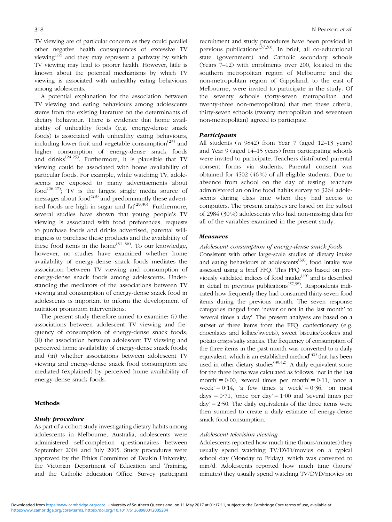TV viewing are of particular concern as they could parallel other negative health consequences of excessive TV viewing([22](#page-5-0)) and they may represent a pathway by which TV viewing may lead to poorer health. However, little is known about the potential mechanisms by which TV viewing is associated with unhealthy eating behaviours among adolescents.

A potential explanation for the association between TV viewing and eating behaviours among adolescents stems from the existing literature on the determinants of dietary behaviour. There is evidence that home availability of unhealthy foods (e.g. energy-dense snack foods) is associated with unhealthy eating behaviours, including lower fruit and vegetable consumption<sup> $(23)$  $(23)$ </sup> and higher consumption of energy-dense snack foods and drinks<sup> $(24,25)$  $(24,25)$ </sup>. Furthermore, it is plausible that TV viewing could be associated with home availability of particular foods. For example, while watching TV, adolescents are exposed to many advertisements about food<sup>([26,27\)](#page-5-0)</sup>; TV is the largest single media source of messages about food $^{(28)}$  $^{(28)}$  $^{(28)}$  and predominantly these advertised foods are high in sugar and  $fat^{(29,30)}$  $fat^{(29,30)}$  $fat^{(29,30)}$ . Furthermore, several studies have shown that young people's TV viewing is associated with food preferences, requests to purchase foods and drinks advertised, parental willingness to purchase these products and the availability of these food items in the home<sup> $(31–36)$  $(31–36)$  $(31–36)$ </sup>. To our knowledge, however, no studies have examined whether home availability of energy-dense snack foods mediates the association between TV viewing and consumption of energy-dense snack foods among adolescents. Understanding the mediators of the associations between TV viewing and consumption of energy-dense snack food in adolescents is important to inform the development of nutrition promotion interventions.

The present study therefore aimed to examine: (i) the associations between adolescent TV viewing and frequency of consumption of energy-dense snack foods; (ii) the association between adolescent TV viewing and perceived home availability of energy-dense snack foods; and (iii) whether associations between adolescent TV viewing and energy-dense snack food consumption are mediated (explained) by perceived home availability of energy-dense snack foods.

#### **Methods**

## Study procedure

As part of a cohort study investigating dietary habits among adolescents in Melbourne, Australia, adolescents were administered self-completion questionnaires between September 2004 and July 2005. Study procedures were approved by the Ethics Committee of Deakin University, the Victorian Department of Education and Training, and the Catholic Education Office. Survey participant recruitment and study procedures have been provided in previous publications<sup> $(37,38)$  $(37,38)$ </sup>. In brief, all co-educational state (government) and Catholic secondary schools (Years 7–12) with enrolments over 200, located in the southern metropolitan region of Melbourne and the non-metropolitan region of Gippsland, to the east of Melbourne, were invited to participate in the study. Of the seventy schools (forty-seven metropolitan and twenty-three non-metropolitan) that met these criteria, thirty-seven schools (twenty metropolitan and seventeen non-metropolitan) agreed to participate.

#### **Participants**

All students  $(n \, 9842)$  from Year 7 (aged 12–13 years) and Year 9 (aged 14–15 years) from participating schools were invited to participate. Teachers distributed parental consent forms via students. Parental consent was obtained for 4502 (46 %) of all eligible students. Due to absence from school on the day of testing, teachers administered an online food habits survey to 3264 adolescents during class time when they had access to computers. The present analyses are based on the subset of 2984 (30 %) adolescents who had non-missing data for all of the variables examined in the present study.

# Measures

#### Adolescent consumption of energy-dense snack foods

Consistent with other large-scale studies of dietary intake and eating behaviours of adolescents<sup> $(39)$ </sup>, food intake was assessed using a brief FFQ. This FFQ was based on previously validated indices of food intake([40](#page-5-0)) and is described in detail in previous publications<sup> $(37,38)$  $(37,38)$ </sup>. Respondents indicated how frequently they had consumed thirty-seven food items during the previous month. The seven response categories ranged from 'never or not in the last month' to 'several times a day'. The present analyses are based on a subset of three items from the FFQ: confectionery (e.g. chocolates and lollies/sweets), sweet biscuits/cookies and potato crisps/salty snacks. The frequency of consumption of the three items in the past month was converted to a daily equivalent, which is an established method $(41)$  $(41)$  that has been used in other dietary studies<sup> $(39,42)$  $(39,42)$ </sup>. A daily equivalent score for the three items was calculated as follows: 'not in the last month' =  $0.00$ , 'several times per month' =  $0.11$ , 'once a week' =  $0.14$ , 'a few times a week' =  $0.36$ , 'on most days' =  $0.71$ , 'once per day' =  $1.00$  and 'several times per  $day' = 2.50$ . The daily equivalents of the three items were then summed to create a daily estimate of energy-dense snack food consumption.

#### Adolescent television viewing

Adolescents reported how much time (hours/minutes) they usually spend watching TV/DVD/movies on a typical school day (Monday to Friday), which was converted to min/d. Adolescents reported how much time (hours/ minutes) they usually spend watching TV/DVD/movies on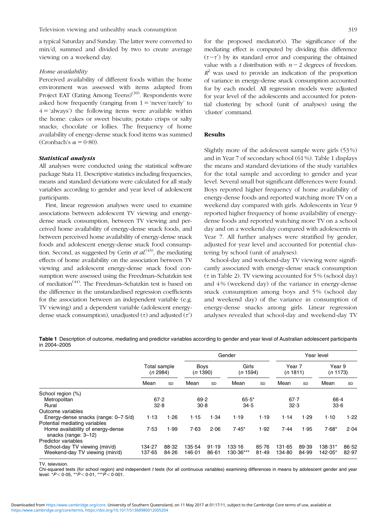Television viewing and unhealthy snack consumption 319

a typical Saturday and Sunday. The latter were converted to min/d, summed and divided by two to create average viewing on a weekend day.

## Home availability

Perceived availability of different foods within the home environment was assessed with items adapted from Project EAT (Eating Among Teens)<sup>([39](#page-5-0))</sup>. Respondents were asked how frequently (ranging from  $1 = 'never/rarely'$  to  $4 = 4$  always') the following items were available within the home: cakes or sweet biscuits; potato crisps or salty snacks; chocolate or lollies. The frequency of home availability of energy-dense snack food items was summed (Cronbach's  $\alpha = 0.80$ ).

## Statistical analysis

All analyses were conducted using the statistical software package Stata 11. Descriptive statistics including frequencies, means and standard deviations were calculated for all study variables according to gender and year level of adolescent participants.

First, linear regression analyses were used to examine associations between adolescent TV viewing and energydense snack consumption, between TV viewing and perceived home availability of energy-dense snack foods, and between perceived home availability of energy-dense snack foods and adolescent energy-dense snack food consumption. Second, as suggested by Cerin *et al.*<sup>([43](#page-5-0))</sup>, the mediating effects of home availability on the association between TV viewing and adolescent energy-dense snack food consumption were assessed using the Freedman–Schatzkin test of mediation[\(44\)](#page-5-0). The Freedman–Schatzkin test is based on the difference in the unstandardised regression coefficients for the association between an independent variable (e.g. TV viewing) and a dependent variable (adolescent energydense snack consumption), unadjusted  $(\tau)$  and adjusted  $(\tau')$ 

for the proposed mediator(s). The significance of the mediating effect is computed by dividing this difference  $(\tau-\tau')$  by its standard error and comparing the obtained value with a t distribution with  $n-2$  degrees of freedom.  $R^2$  was used to provide an indication of the proportion of variance in energy-dense snack consumption accounted for by each model. All regression models were adjusted for year level of the adolescents and accounted for potential clustering by school (unit of analyses) using the 'cluster' command.

## Results

Slightly more of the adolescent sample were girls (53 %) and in Year 7 of secondary school (61 %). Table 1 displays the means and standard deviations of the study variables for the total sample and according to gender and year level. Several small but significant differences were found. Boys reported higher frequency of home availability of energy-dense foods and reported watching more TV on a weekend day compared with girls. Adolescents in Year 9 reported higher frequency of home availability of energydense foods and reported watching more TV on a school day and on a weekend day compared with adolescents in Year 7. All further analyses were stratified by gender, adjusted for year level and accounted for potential clustering by school (unit of analyses).

School-day and weekend-day TV viewing were significantly associated with energy-dense snack consumption  $(\tau$  in [Table 2\)](#page-3-0). TV viewing accounted for 5% (school day) and 4 % (weekend day) of the variance in energy-dense snack consumption among boys and 5 % (school day and weekend day) of the variance in consumption of energy-dense snacks among girls. Linear regression analyses revealed that school-day and weekend-day TV

Table 1 Description of outcome, mediating and predictor variables according to gender and year level of Australian adolescent participants in 2004–2005

|                                                           |                          |           | Gender                  |           |                   |           | Year level         |       |                    |           |
|-----------------------------------------------------------|--------------------------|-----------|-------------------------|-----------|-------------------|-----------|--------------------|-------|--------------------|-----------|
|                                                           | Total sample<br>(n 2984) |           | <b>Boys</b><br>(n 1390) |           | Girls<br>(n 1594) |           | Year 7<br>(n 1811) |       | Year 9<br>(n 1173) |           |
|                                                           | Mean                     | <b>SD</b> | Mean                    | <b>SD</b> | Mean              | <b>SD</b> | Mean               | SD    | Mean               | <b>SD</b> |
| School region (%)                                         |                          |           |                         |           |                   |           |                    |       |                    |           |
| Metropolitan                                              | 67.2                     |           | 69.2                    |           | $65.5*$           |           | $67 - 7$           |       | $66 - 4$           |           |
| Rural                                                     | 32.8                     |           | 30.8                    |           | 34.5              |           | 32.3               |       | 33.6               |           |
| Outcome variables                                         |                          |           |                         |           |                   |           |                    |       |                    |           |
| Energy-dense snacks (range: $0 - 7.5/d$ )                 | 1.13                     | 1.26      | 1.15                    | 1.34      | 1.19              | 1.19      | 1.14               | 1.29  | 1.10               | 1.22      |
| Potential mediating variables                             |                          |           |                         |           |                   |           |                    |       |                    |           |
| Home availability of energy-dense<br>snacks (range: 3-12) | 7.53                     | 1.99      | 7.63                    | 2.06      | $7.45*$           | 1.92      | 7.44               | 1.95  | $7.68*$            | 2.04      |
| Predictor variables                                       |                          |           |                         |           |                   |           |                    |       |                    |           |
| School-day TV viewing (min/d)                             | 134.27                   | 88.32     | 135.54                  | 91.19     | 133.16            | 85.76     | 131.65             | 89.39 | $138.31*$          | 86.52     |
| Weekend-day TV viewing (min/d)                            | 137.65                   | 84.26     | 146.01                  | 86.61     | $130.36***$       | 81.49     | 134.80             | 84.99 | $142.05*$          | 82.97     |

TV, television.

Chi-squared tests (for school region) and independent t tests (for all continuous variables) examining differences in means by adolescent gender and year level: \* $P < 0.05$ , \*\* $P < 0.01$ , \*\*\* $P < 0.001$ .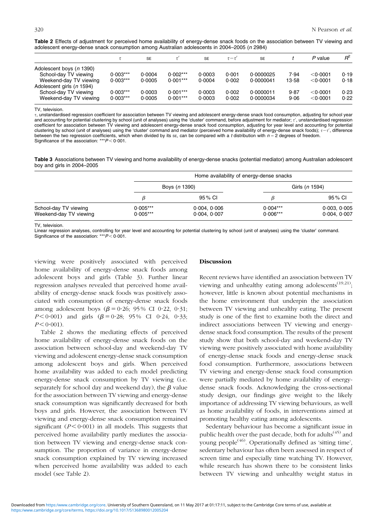<span id="page-3-0"></span>Table 2 Effects of adjustment for perceived home availability of energy-dense snack foods on the association between TV viewing and adolescent energy-dense snack consumption among Australian adolescents in 2004–2005 (n 2984)

|                           |            | <b>SE</b> |            | <b>SE</b> | $\tau-\tau$ | <b>SE</b> |       | P value    | $R^2$ |
|---------------------------|------------|-----------|------------|-----------|-------------|-----------|-------|------------|-------|
| Adolescent boys (n 1390)  |            |           |            |           |             |           |       |            |       |
| School-day TV viewing     | $0.003***$ | 0.0004    | $0.002***$ | 0.0003    | 0.001       | 0.0000025 | 7.94  | < 0.0001   | 0.19  |
| Weekend-day TV viewing    | $0.003***$ | 0.0005    | $0.001***$ | 0.0004    | 0.002       | 0.0000041 | 13.58 | < 0.0001   | 0.18  |
| Adolescent girls (n 1594) |            |           |            |           |             |           |       |            |       |
| School-day TV viewing     | $0.003***$ | 0.0003    | $0.001***$ | 0.0003    | 0.002       | 0.0000011 | 9.87  | < 0.0001   | 0.23  |
| Weekend-day TV viewing    | $0.003***$ | 0.0005    | $0.001***$ | 0.0003    | 0.002       | 0.0000034 | 9.06  | $<$ 0.0001 | 0.22  |

TV, television.

t, unstandardised regression coefficient for association between TV viewing and adolescent energy-dense snack food consumption, adjusting for school year and accounting for potential clustering by school (unit of analyses) using the 'cluster' command, before adjustment for mediator;  $\tau'$ , unstandardised regression coefficient for association between TV viewing and adolescent energy-dense snack food consumption, adjusting for year level and accounting for potential clustering by school (unit of analyses) using the 'cluster' command and mediator (perceived home availability of energy-dense snack foods);  $\tau-\tau'$ , difference between the two regression coefficients, which when divided by its se, can be compared with a t distribution with  $n-2$  degrees of freedom. Significance of the association: \*\*\* $P < 0.001$ .

Table 3 Associations between TV viewing and home availability of energy-dense snacks (potential mediator) among Australian adolescent boy and girls in 2004–2005

|                                                 |                          | Home availability of energy-dense snacks |                          |                            |  |  |  |  |
|-------------------------------------------------|--------------------------|------------------------------------------|--------------------------|----------------------------|--|--|--|--|
|                                                 |                          | Boys (n 1390)                            | Girls (n 1594)           |                            |  |  |  |  |
|                                                 | B                        | 95 % CI                                  | ß                        | 95 % CI                    |  |  |  |  |
| School-day TV viewing<br>Weekend-day TV viewing | $0.005***$<br>$0.005***$ | 0.004, 0.006<br>0.004, 0.007             | $0.004***$<br>$0.006***$ | 0.003, 0.005<br>0.004.0007 |  |  |  |  |

TV, television.

Linear regression analyses, controlling for year level and accounting for potential clustering by school (unit of analyses) using the 'cluster' command.<br>Significance of the association: \*\*\*P<0·001.

viewing were positively associated with perceived home availability of energy-dense snack foods among adolescent boys and girls (Table 3). Further linear regression analyses revealed that perceived home availability of energy-dense snack foods was positively associated with consumption of energy-dense snack foods among adolescent boys ( $\beta = 0.26$ ; 95% CI 0.22, 0.31;  $P \le 0.001$ ) and girls  $(\beta = 0.28; 95\% \text{ CI } 0.24, 0.33;$  $P < 0.001$ ).

Table 2 shows the mediating effects of perceived home availability of energy-dense snack foods on the association between school-day and weekend-day TV viewing and adolescent energy-dense snack consumption among adolescent boys and girls. When perceived home availability was added to each model predicting energy-dense snack consumption by TV viewing (i.e. separately for school day and weekend day), the  $\beta$  value for the association between TV viewing and energy-dense snack consumption was significantly decreased for both boys and girls. However, the association between TV viewing and energy-dense snack consumption remained significant ( $P < 0.001$ ) in all models. This suggests that perceived home availability partly mediates the association between TV viewing and energy-dense snack consumption. The proportion of variance in energy-dense snack consumption explained by TV viewing increased when perceived home availability was added to each model (see Table 2).

# Discussion

Recent reviews have identified an association between TV viewing and unhealthy eating among adolescents<sup> $(19,21)$  $(19,21)$ </sup>; however, little is known about potential mechanisms in the home environment that underpin the association between TV viewing and unhealthy eating. The present study is one of the first to examine both the direct and indirect associations between TV viewing and energydense snack food consumption. The results of the present study show that both school-day and weekend-day TV viewing were positively associated with home availability of energy-dense snack foods and energy-dense snack food consumption. Furthermore, associations between TV viewing and energy-dense snack food consumption were partially mediated by home availability of energydense snack foods. Acknowledging the cross-sectional study design, our findings give weight to the likely importance of addressing TV viewing behaviours, as well as home availability of foods, in interventions aimed at promoting healthy eating among adolescents.

Sedentary behaviour has become a significant issue in public health over the past decade, both for adults<sup>[\(45\)](#page-5-0)</sup> and young people<sup> $(46)$  $(46)$ </sup>. Operationally defined as 'sitting time', sedentary behaviour has often been assessed in respect of screen time and especially time watching TV. However, while research has shown there to be consistent links between TV viewing and unhealthy weight status in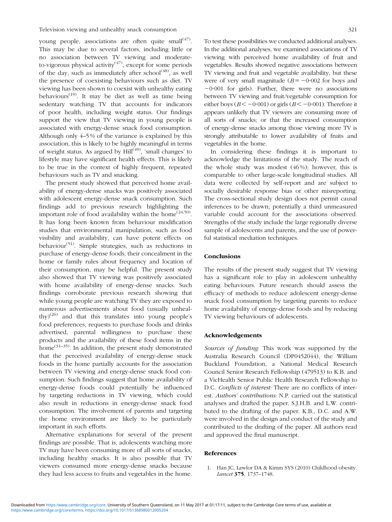<span id="page-4-0"></span>young people, associations are often quite small $(47)$  $(47)$ . This may be due to several factors, including little or no association between TV viewing and moderateto-vigorous physical activity<sup> $(47)$ </sup>, except for some periods of the day, such as immediately after  $school<sup>(48)</sup>$  $school<sup>(48)</sup>$  $school<sup>(48)</sup>$ , as well the presence of coexisting behaviours such as diet. TV viewing has been shown to coexist with unhealthy eating behaviours<sup> $(19)$  $(19)$ </sup>. It may be diet as well as time being sedentary watching TV that accounts for indicators of poor health, including weight status. Our findings support the view that TV viewing in young people is associated with energy-dense snack food consumption. Although only 4–5 % of the variance is explained by this association, this is likely to be highly meaningful in terms of weight status. As argued by  $\text{Hill}^{(49)}$  $\text{Hill}^{(49)}$  $\text{Hill}^{(49)}$ , 'small changes' to lifestyle may have significant health effects. This is likely to be true in the context of highly frequent, repeated behaviours such as TV and snacking.

The present study showed that perceived home availability of energy-dense snacks was positively associated with adolescent energy-dense snack consumption. Such findings add to previous research highlighting the important role of food availability within the home<sup> $(24,50)$  $(24,50)$  $(24,50)$ </sup>. It has long been known from behaviour modification studies that environmental manipulation, such as food visibility and availability, can have potent effects on behaviour<sup>[\(51](#page-6-0))</sup>. Simple strategies, such as reductions in purchase of energy-dense foods, their concealment in the home or family rules about frequency and location of their consumption, may be helpful. The present study also showed that TV viewing was positively associated with home availability of energy-dense snacks. Such findings corroborate previous research showing that while young people are watching TV they are exposed to numerous advertisements about food (usually unheal-thy)<sup>[\(26](#page-5-0))</sup> and that this translates into young people's food preferences, requests to purchase foods and drinks advertised, parental willingness to purchase these products and the availability of these food items in the home<sup> $(31-35)$  $(31-35)$  $(31-35)$  $(31-35)$ </sup>. In addition, the present study demonstrated that the perceived availability of energy-dense snack foods in the home partially accounts for the association between TV viewing and energy-dense snack food consumption. Such findings suggest that home availability of energy-dense foods could potentially be influenced by targeting reductions in TV viewing, which could also result in reductions in energy-dense snack food consumption. The involvement of parents and targeting the home environment are likely to be particularly important in such efforts.

Alternative explanations for several of the present findings are possible. That is, adolescents watching more TV may have been consuming more of all sorts of snacks, including healthy snacks. It is also possible that TV viewers consumed more energy-dense snacks because they had less access to fruits and vegetables in the home. To test these possibilities we conducted additional analyses. In the additional analyses, we examined associations of TV viewing with perceived home availability of fruit and vegetables. Results showed negative associations between TV viewing and fruit and vegetable availability, but these were of very small magnitude  $(B = -0.002$  for boys and  $-0.001$  for girls). Further, there were no associations between TV viewing and fruit/vegetable consumption for either boys ( $B < -0.001$ ) or girls ( $B < -0.001$ ). Therefore it appears unlikely that TV viewers are consuming more of all sorts of snacks; or that the increased consumption of energy-dense snacks among those viewing more TV is strongly attributable to lower availability of fruits and vegetables in the home.

In considering these findings it is important to acknowledge the limitations of the study. The reach of the whole study was modest (46 %); however, this is comparable to other large-scale longitudinal studies. All data were collected by self-report and are subject to socially desirable response bias or other misreporting. The cross-sectional study design does not permit causal inferences to be drawn; potentially a third unmeasured variable could account for the associations observed. Strengths of the study include the large regionally diverse sample of adolescents and parents, and the use of powerful statistical mediation techniques.

## Conclusions

The results of the present study suggest that TV viewing has a significant role to play in adolescent unhealthy eating behaviours. Future research should assess the efficacy of methods to reduce adolescent energy-dense snack food consumption by targeting parents to reduce home availability of energy-dense foods and by reducing TV viewing behaviours of adolescents.

#### Acknowledgements

Sources of funding: This work was supported by the Australia Research Council (DP0452044), the William Buckland Foundation, a National Medical Research Council Senior Research Fellowship (479513) to K.B. and a VicHealth Senior Public Health Research Fellowship to D.C. Conflicts of interest: There are no conflicts of interest. Authors' contributions: N.P. carried out the statistical analyses and drafted the paper. S.J.H.B. and L.W. contributed to the drafting of the paper. K.B., D.C. and A.W. were involved in the design and conduct of the study and contributed to the drafting of the paper. All authors read and approved the final manuscript.

#### References

1. Han JC, Lawlor DA & Kimm SYS (2010) Childhood obesity. Lancet 375, 1737–1748.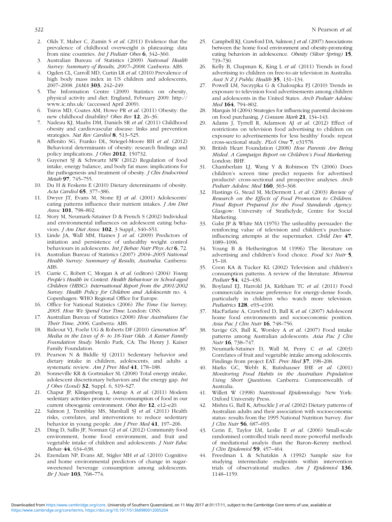- <span id="page-5-0"></span>2. Olds T, Maher C, Zumin S et al. (2011) Evidence that the prevalence of childhood overweight is plateauing: data from nine countries. *Int J Pediatr Obes*  $6, 342-360$ .
- 3. Australian Bureau of Statistics (2009) National Health Survey: Summary of Results, 2007–2008. Canberra: ABS.
- 4. Ogden CL, Carroll MD, Curtin LR et al. (2010) Prevalence of high body mass index in US children and adolescents, 2007–2008. JAMA 303, 242–249.
- 5. The Information Centre (2009) Statistics on obesity, physical activity and diet: England, February 2009. http:// www.ic.nhs.uk/ (accessed April 2009).
- 6. Tsiros MD, Coates AM, Howe PR et al. (2011) Obesity: the new childhood disability? Obes Rev 12, 26–36.
- 7. Nadeau KJ, Maahs DM, Daniels SR et al. (2011) Childhood obesity and cardiovascular disease: links and prevention strategies. Nat Rev Cardiol 8, 513-525.
- 8. Affenito SG, Franko DL, Striegel-Moore RH et al. (2012) Behavioral determinants of obesity: research findings and policy implications. J Obes 2012, 150732.
- 9. Guyenet SJ & Schwartz MW (2012) Regulation of food intake, energy balance, and body fat mass: implications for the pathogenesis and treatment of obesity. J Clin Endocrinol Metab 97, 745-755.
- 10. Du H & Feskens E (2010) Dietary determinants of obesity. Acta Cardiol 65, 377–386.
- 11. Dwyer JT, Evans M, Stone EJ et al. (2001) Adolescents' eating patterns influence their nutrient intakes. *J Am Diet* Assoc 101, 798–802.
- 12. Story M, Neumark-Sztainer D & French S (2002) Individual and environmental influences on adolescent eating behaviors. *J Am Diet Assoc* 102, 3 Suppl., S40-S51.
- 13. Linde JA, Wall MM, Haines J et al. (2009) Predictors of initiation and persistence of unhealthy weight control behaviours in adolescents. Int J Behav Nutr Phys Act 6, 72.
- 14. Australian Bureau of Statistics (2007) 2004–2005 National Health Survey: Summary of Results, Australia. Canberra: ABS.
- 15. Currie C, Robert C, Morgan A et al. (editors) (2004) Young People's Health in Context. Health Behaviour in School-aged Children (HBSC): International Report from the 2001/2002 Survey. Health Policy for Children and Adolescents no. 4. Copenhagen: WHO Regional Office for Europe.
- 16. Office for National Statistics (2006) The Time Use Survey, 2005. How We Spend Our Time. London: ONS.
- 17. Australian Bureau of Statistics (2008) How Australians Use Their Time, 2006. Canberra: ABS.
- 18. Rideout VJ, Foehr UG & Roberts DF (2010) Generation  $M^2$ : Media in the Lives of 8- to 18-Year Olds. A Kaiser Family Foundation Study. Menlo Park, CA: The Henry J. Kaiser Family Foundation.
- 19. Pearson N & Biddle SJ (2011) Sedentary behavior and dietary intake in children, adolescents, and adults a systematic review. Am J Prev Med 41, 178-188.
- 20. Sonneville KR & Gortmaker SL (2008) Total energy intake, adolescent discretionary behaviors and the energy gap. Int J Obes (Lond) 32, Suppl. 6, S19–S27.
- 21. Chaput JP, Klingenberg L, Astrup A et al. (2011) Modern sedentary activities promote overconsumption of food in our current obesogenic environment. Obes Rev 12, e12–e20.
- 22. Salmon J, Tremblay MS, Marshall SJ et al. (2011) Health risks, correlates, and interventions to reduce sedentary behavior in young people. Am J Prev Med 41, 197–206.
- 23. Ding D, Sallis JF, Norman GJ et al. (2012) Community food environment, home food environment, and fruit and vegetable intake of children and adolescents. J Nutr Educ Behav 44, 634–638.
- 24. Ezendam NP, Evans AE, Stigler MH et al. (2010) Cognitive and home environmental predictors of change in sugarsweetened beverage consumption among adolescents. Br J Nutr 103, 768–774.
- 25. Campbell KJ, Crawford DA, Salmon J et al. (2007) Associations between the home food environment and obesity-promoting eating behaviors in adolescence. Obesity (Silver Spring) 15, 719–730.
- 26. Kelly B, Chapman K, King L et al. (2011) Trends in food advertising to children on free-to-air television in Australia. Aust  $N Z J$  Public Health 35, 131-134.
- 27. Powell LM, Szczypka G & Chaloupka FJ (2010) Trends in exposure to television food advertisements among children and adolescents in the United States. Arch Pediatr Adolesc Med 164, 794-802.
- 28. Marquis M (2004) Strategies for influencing parental decisions on food purchasing. J Consum Mark 21, 134–143.
- 29. Adams J, Tyrrell R, Adamson AJ et al. (2012) Effect of restrictions on television food advertising to children on exposure to advertisements for 'less healthy' foods: repeat cross-sectional study. PLoS One 7, e31578.
- 30. British Heart Foundation (2008) How Parents Are Being Misled. A Campaign Report on Children's Food Marketing. London: BHF.
- 31. Chamberlain LJ, Wang Y & Robinson TN (2006) Does children's screen time predict requests for advertised products?: cross-sectional and prospective analyses. Arch Pediatr Adolesc Med 160, 363-368.
- 32. Hastings G, Stead M, McDermott L et al. (2003) Review of Research on the Effects of Food Promotion to Children. Final Report Prepared for the Food Standards Agency. Glasgow: University of Strathclyde, Centre for Social Marketing.
- 33. Galst JP & White MA (1976) The unhealthy persuader: the reinforcing value of television and children's purchaseinfluencing attempts at the supermarket. Child Dev 47, 1089–1096.
- 34. Young B & Hetherington M (1996) The literature on advertising and children's food choice. Food Sci Nutr 5, 15–18.
- 35. Coon KA & Tucker KL (2002) Television and children's consumption patterns. A review of the literature. Minerva Pediatr 54, 423–436.
- 36. Boyland EJ, Harrold JA, Kirkham TC et al. (2011) Food commercials increase preference for energy-dense foods, particularly in children who watch more television. Pediatrics 128, e93-e100.
- 37. MacFarlane A, Crawford D, Ball K et al. (2007) Adolescent home food environments and socioeconomic position. Asia Pac J Clin Nutr 16, 748–756.
- 38. Savige GS, Ball K, Worsley A et al. (2007) Food intake patterns among Australian adolescents. Asia Pac J Clin Nutr 16, 738–747.
- 39. Neumark-Sztainer D, Wall M, Perry C et al. (2003) Correlates of fruit and vegetable intake among adolescents. Findings from project EAT. Prev Med 37, 198–208.
- 40. Marks GC, Webb K, Rutishauser IHE et al. (2001) Monitoring Food Habits in the Australian Population Using Short Questions. Canberra: Commonwealth of Australia.
- 41. Willett W (1998) Nutritional Epidemiology. New York: Oxford University Press.
- 42. Mishra G, Ball K, Arbuckle J et al. (2002) Dietary patterns of Australian adults and their association with socioeconomic status: results from the 1995 National Nutrition Survey. Eur J Clin Nutr 56, 687–693.
- 43. Cerin E, Taylor LM, Leslie E et al. (2006) Small-scale randomised controlled trials need more powerful methods of mediational analyis than the Baron–Kenny method. J Clin Epidemiol 59, 457–464.
- 44. Freedman L & Schatzkin A (1992) Sample size for studying intermediate endpoints within intervention trials of observational studies. Am J Epidemiol 136, 1148–1159.